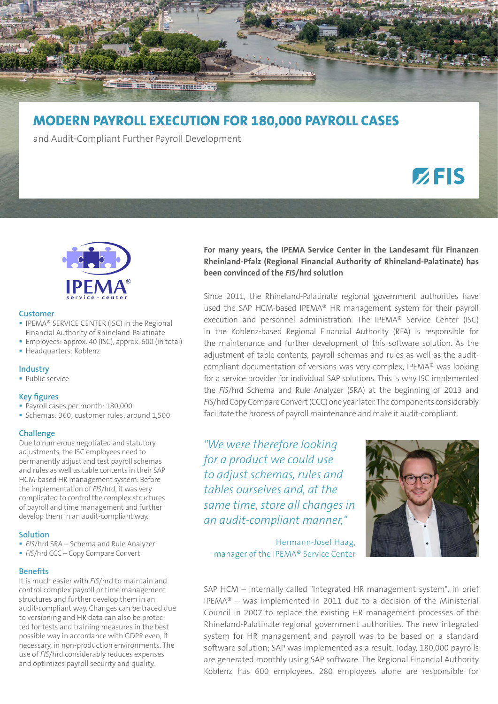

# **MODERN PAYROLL EXECUTION FOR 180,000 PAYROLL CASES**

and Audit-Compliant Further Payroll Development

# $Z$ FIS



#### **Customer**

- **IPEMA® SERVICE CENTER (ISC) in the Regional** Financial Authority of Rhineland-Palatinate
- Employees: approx. 40 (ISC), approx. 600 (in total)
- Headquarters: Koblenz

#### **Industry**

**Public service** 

#### **Key figures**

- Payroll cases per month: 180,000
- Schemas: 360; customer rules: around 1,500

## **Challenge**

Due to numerous negotiated and statutory adjustments, the ISC employees need to permanently adjust and test payroll schemas and rules as well as table contents in their SAP HCM-based HR management system. Before the implementation of *FIS*/hrd, it was very complicated to control the complex structures of payroll and time management and further develop them in an audit-compliant way.

#### **Solution**

- *FIS*/hrd SRA Schema and Rule Analyzer
- **FIS/hrd CCC Copy Compare Convert**

## **Benefits**

It is much easier with *FIS*/hrd to maintain and control complex payroll or time management structures and further develop them in an audit-compliant way. Changes can be traced due to versioning and HR data can also be protected for tests and training measures in the best possible way in accordance with GDPR even, if necessary, in non-production environments. The use of *FIS*/hrd considerably reduces expenses and optimizes payroll security and quality.

**For many years, the IPEMA Service Center in the Landesamt für Finanzen Rheinland-Pfalz (Regional Financial Authority of Rhineland-Palatinate) has been convinced of the** *FIS***/hrd solution**

Since 2011, the Rhineland-Palatinate regional government authorities have used the SAP HCM-based IPEMA® HR management system for their payroll execution and personnel administration. The IPEMA® Service Center (ISC) in the Koblenz-based Regional Financial Authority (RFA) is responsible for the maintenance and further development of this software solution. As the adjustment of table contents, payroll schemas and rules as well as the auditcompliant documentation of versions was very complex, IPEMA® was looking for a service provider for individual SAP solutions. This is why ISC implemented the *FIS*/hrd Schema and Rule Analyzer (SRA) at the beginning of 2013 and *FIS*/hrd Copy Compare Convert (CCC) one year later. The components considerably facilitate the process of payroll maintenance and make it audit-compliant.

*"We were therefore looking for a product we could use to adjust schemas, rules and tables ourselves and, at the same time, store all changes in an audit-compliant manner,"*

Hermann-Josef Haag, manager of the IPEMA® Service Center

SAP HCM – internally called "Integrated HR management system", in brief IPEMA® – was implemented in 2011 due to a decision of the Ministerial Council in 2007 to replace the existing HR management processes of the Rhineland-Palatinate regional government authorities. The new integrated system for HR management and payroll was to be based on a standard software solution; SAP was implemented as a result. Today, 180,000 payrolls are generated monthly using SAP software. The Regional Financial Authority Koblenz has 600 employees. 280 employees alone are responsible for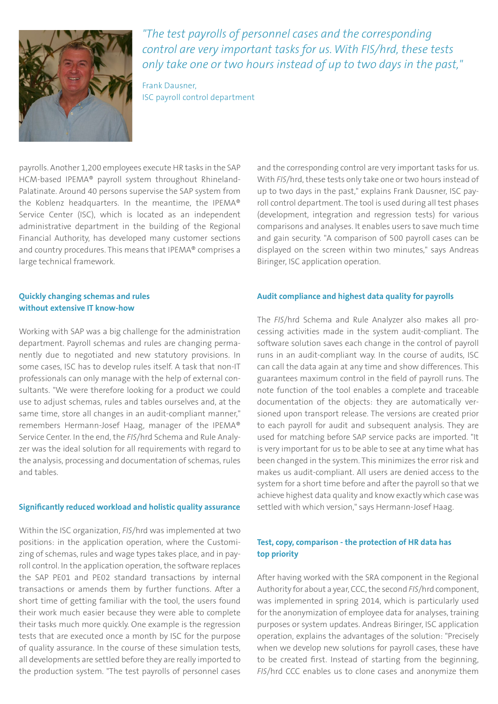

*"The test payrolls of personnel cases and the corresponding control are very important tasks for us. With FIS/hrd, these tests only take one or two hours instead of up to two days in the past,"*

Frank Dausner, ISC payroll control department

payrolls. Another 1,200 employees execute HR tasks in the SAP HCM-based IPEMA® payroll system throughout Rhineland-Palatinate. Around 40 persons supervise the SAP system from the Koblenz headquarters. In the meantime, the IPEMA® Service Center (ISC), which is located as an independent administrative department in the building of the Regional Financial Authority, has developed many customer sections and country procedures. This means that IPEMA® comprises a large technical framework.

# **Quickly changing schemas and rules without extensive IT know-how**

Working with SAP was a big challenge for the administration department. Payroll schemas and rules are changing permanently due to negotiated and new statutory provisions. In some cases, ISC has to develop rules itself. A task that non-IT professionals can only manage with the help of external consultants. "We were therefore looking for a product we could use to adjust schemas, rules and tables ourselves and, at the same time, store all changes in an audit-compliant manner," remembers Hermann-Josef Haag, manager of the IPEMA® Service Center. In the end, the *FIS*/hrd Schema and Rule Analyzer was the ideal solution for all requirements with regard to the analysis, processing and documentation of schemas, rules and tables.

## **Significantly reduced workload and holistic quality assurance**

Within the ISC organization, *FIS*/hrd was implemented at two positions: in the application operation, where the Customizing of schemas, rules and wage types takes place, and in payroll control. In the application operation, the software replaces the SAP PE01 and PE02 standard transactions by internal transactions or amends them by further functions. After a short time of getting familiar with the tool, the users found their work much easier because they were able to complete their tasks much more quickly. One example is the regression tests that are executed once a month by ISC for the purpose of quality assurance. In the course of these simulation tests, all developments are settled before they are really imported to the production system. "The test payrolls of personnel cases

and the corresponding control are very important tasks for us. With *FIS*/hrd, these tests only take one or two hours instead of up to two days in the past," explains Frank Dausner, ISC payroll control department. The tool is used during all test phases (development, integration and regression tests) for various comparisons and analyses. It enables users to save much time and gain security. "A comparison of 500 payroll cases can be displayed on the screen within two minutes," says Andreas Biringer, ISC application operation.

## **Audit compliance and highest data quality for payrolls**

The *FIS*/hrd Schema and Rule Analyzer also makes all processing activities made in the system audit-compliant. The software solution saves each change in the control of payroll runs in an audit-compliant way. In the course of audits, ISC can call the data again at any time and show differences. This guarantees maximum control in the field of payroll runs. The note function of the tool enables a complete and traceable documentation of the objects: they are automatically versioned upon transport release. The versions are created prior to each payroll for audit and subsequent analysis. They are used for matching before SAP service packs are imported. "It is very important for us to be able to see at any time what has been changed in the system. This minimizes the error risk and makes us audit-compliant. All users are denied access to the system for a short time before and after the payroll so that we achieve highest data quality and know exactly which case was settled with which version," says Hermann-Josef Haag.

# **Test, copy, comparison - the protection of HR data has top priority**

After having worked with the SRA component in the Regional Authority for about a year, CCC, the second *FIS*/hrd component, was implemented in spring 2014, which is particularly used for the anonymization of employee data for analyses, training purposes or system updates. Andreas Biringer, ISC application operation, explains the advantages of the solution: "Precisely when we develop new solutions for payroll cases, these have to be created first. Instead of starting from the beginning, *FIS*/hrd CCC enables us to clone cases and anonymize them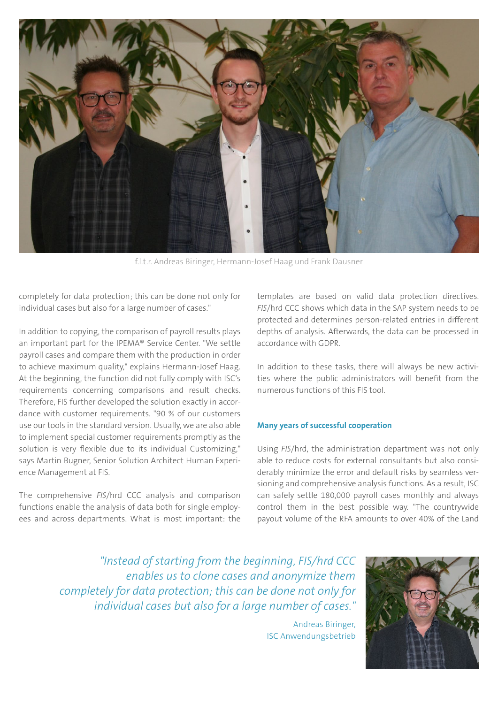

f.l.t.r. Andreas Biringer, Hermann-Josef Haag und Frank Dausner

completely for data protection; this can be done not only for individual cases but also for a large number of cases."

In addition to copying, the comparison of payroll results plays an important part for the IPEMA® Service Center. "We settle payroll cases and compare them with the production in order to achieve maximum quality," explains Hermann-Josef Haag. At the beginning, the function did not fully comply with ISC's requirements concerning comparisons and result checks. Therefore, FIS further developed the solution exactly in accordance with customer requirements. "90 % of our customers use our tools in the standard version. Usually, we are also able to implement special customer requirements promptly as the solution is very flexible due to its individual Customizing," says Martin Bugner, Senior Solution Architect Human Experience Management at FIS.

The comprehensive *FIS*/hrd CCC analysis and comparison functions enable the analysis of data both for single employees and across departments. What is most important: the templates are based on valid data protection directives. *FIS*/hrd CCC shows which data in the SAP system needs to be protected and determines person-related entries in different depths of analysis. Afterwards, the data can be processed in accordance with GDPR.

In addition to these tasks, there will always be new activities where the public administrators will benefit from the numerous functions of this FIS tool.

## **Many years of successful cooperation**

Using *FIS*/hrd, the administration department was not only able to reduce costs for external consultants but also considerably minimize the error and default risks by seamless versioning and comprehensive analysis functions. As a result, ISC can safely settle 180,000 payroll cases monthly and always control them in the best possible way. "The countrywide payout volume of the RFA amounts to over 40% of the Land

*"Instead of starting from the beginning, FIS/hrd CCC enables us to clone cases and anonymize them completely for data protection; this can be done not only for individual cases but also for a large number of cases."*

> Andreas Biringer, ISC Anwendungsbetrieb